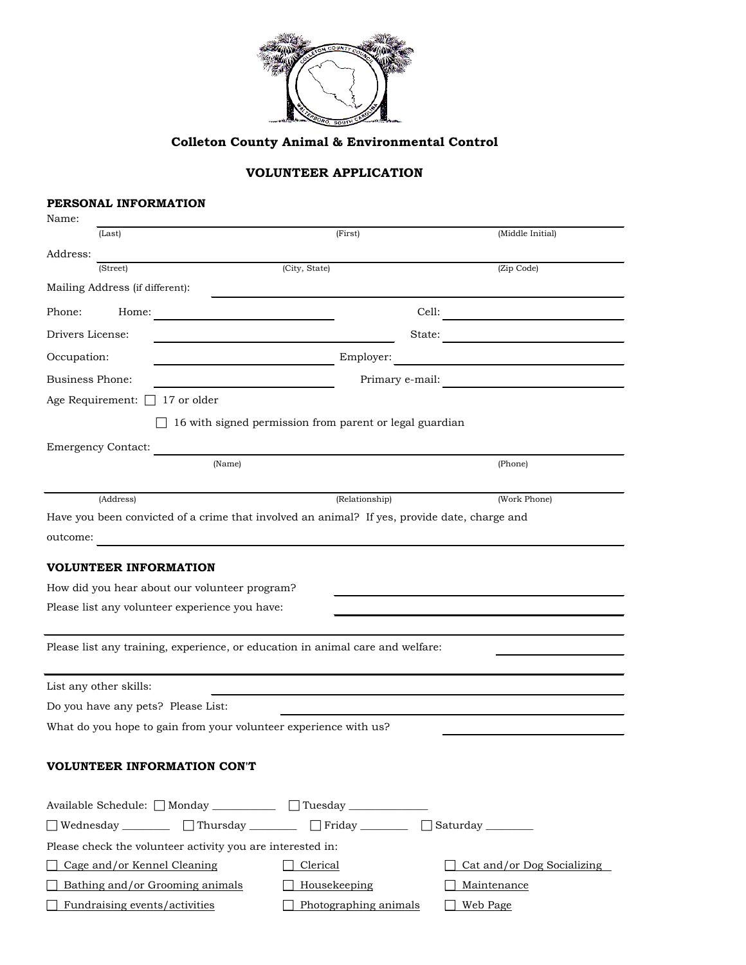

# **Colleton County Animal & Environmental Control**

# **VOLUNTEER APPLICATION**

# **PERSONAL INFORMATION**

| Name:                                                                                        |                                                         |                  |  |
|----------------------------------------------------------------------------------------------|---------------------------------------------------------|------------------|--|
| (Last)                                                                                       | (First)                                                 | (Middle Initial) |  |
| Address:                                                                                     |                                                         |                  |  |
| (Street)                                                                                     | (City, State)                                           | (Zip Code)       |  |
| Mailing Address (if different):                                                              |                                                         |                  |  |
| Phone:<br>Home:                                                                              | the control of the control of the control of            | Cell:            |  |
| Drivers License:                                                                             |                                                         | State:           |  |
| Occupation:                                                                                  | Employer:                                               |                  |  |
| <b>Business Phone:</b>                                                                       |                                                         | Primary e-mail:  |  |
| Age Requirement: $\Box$ 17 or older                                                          |                                                         |                  |  |
|                                                                                              | 16 with signed permission from parent or legal guardian |                  |  |
| <b>Emergency Contact:</b>                                                                    |                                                         |                  |  |
| (Name)                                                                                       |                                                         | (Phone)          |  |
|                                                                                              |                                                         |                  |  |
| (Address)                                                                                    | (Relationship)                                          | (Work Phone)     |  |
| Have you been convicted of a crime that involved an animal? If yes, provide date, charge and |                                                         |                  |  |
| outcome:                                                                                     |                                                         |                  |  |
| <b>VOLUNTEER INFORMATION</b>                                                                 |                                                         |                  |  |
| How did you hear about our volunteer program?                                                |                                                         |                  |  |
| Please list any volunteer experience you have:                                               |                                                         |                  |  |
|                                                                                              |                                                         |                  |  |
| Please list any training, experience, or education in animal care and welfare:               |                                                         |                  |  |
|                                                                                              |                                                         |                  |  |
| List any other skills:                                                                       |                                                         |                  |  |
| Do you have any pets? Please List:                                                           |                                                         |                  |  |
| What do you hope to gain from your volunteer experience with us?                             |                                                         |                  |  |
|                                                                                              |                                                         |                  |  |
| <b>VOLUNTEER INFORMATION CON'T</b>                                                           |                                                         |                  |  |
| Available Schedule: □ Monday ___________ □ Tuesday ___________                               |                                                         |                  |  |
| □ Wednesday __________ □ Thursday _________ □ Friday ________ □ Saturday _______             |                                                         |                  |  |

| Please check the volunteer activity you are interested in: |                       |                                          |
|------------------------------------------------------------|-----------------------|------------------------------------------|
| $\Box$ Cage and/or Kennel Cleaning                         | Clerical              | $\Box$ Cat <u>and/or Dog Socializing</u> |
| $\Box$ Bathing and/or Grooming animals                     | Housekeeping          | Maintenance                              |
| Fundraising events/activities                              | Photographing animals | Web Page                                 |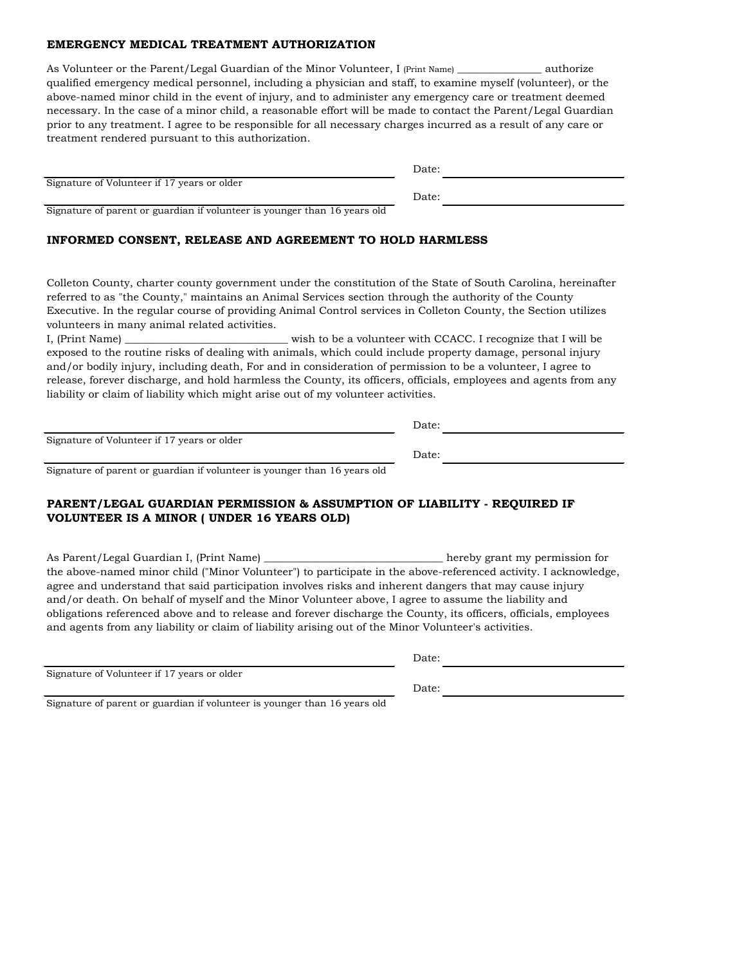## **EMERGENCY MEDICAL TREATMENT AUTHORIZATION**

As Volunteer or the Parent/Legal Guardian of the Minor Volunteer, I (Print Name) \_\_\_\_\_\_\_\_\_\_\_\_\_\_\_\_\_\_ authorize qualified emergency medical personnel, including a physician and staff, to examine myself (volunteer), or the above-named minor child in the event of injury, and to administer any emergency care or treatment deemed necessary. In the case of a minor child, a reasonable effort will be made to contact the Parent/Legal Guardian prior to any treatment. I agree to be responsible for all necessary charges incurred as a result of any care or treatment rendered pursuant to this authorization.

|                                             | Date: |  |
|---------------------------------------------|-------|--|
| Signature of Volunteer if 17 years or older |       |  |
|                                             | Date: |  |

Signature of parent or guardian if volunteer is younger than 16 years old

#### **INFORMED CONSENT, RELEASE AND AGREEMENT TO HOLD HARMLESS**

Colleton County, charter county government under the constitution of the State of South Carolina, hereinafter referred to as "the County," maintains an Animal Services section through the authority of the County Executive. In the regular course of providing Animal Control services in Colleton County, the Section utilizes volunteers in many animal related activities.

I, (Print Name) \_\_\_\_\_\_\_\_\_\_\_\_\_\_\_\_\_\_\_\_\_\_\_\_\_\_\_\_\_\_\_ wish to be a volunteer with CCACC. I recognize that I will be exposed to the routine risks of dealing with animals, which could include property damage, personal injury and/or bodily injury, including death, For and in consideration of permission to be a volunteer, I agree to release, forever discharge, and hold harmless the County, its officers, officials, employees and agents from any liability or claim of liability which might arise out of my volunteer activities.

Signature of Volunteer if 17 years or older

Signature of parent or guardian if volunteer is younger than 16 years old

## **PARENT/LEGAL GUARDIAN PERMISSION & ASSUMPTION OF LIABILITY - REQUIRED IF VOLUNTEER IS A MINOR ( UNDER 16 YEARS OLD)**

As Parent/Legal Guardian I, (Print Name) \_\_\_\_\_\_\_\_\_\_\_\_\_\_\_\_\_\_\_\_\_\_\_\_\_\_\_\_\_\_\_\_\_\_ hereby grant my permission for the above-named minor child ("Minor Volunteer") to participate in the above-referenced activity. I acknowledge, agree and understand that said participation involves risks and inherent dangers that may cause injury and/or death. On behalf of myself and the Minor Volunteer above, I agree to assume the liability and obligations referenced above and to release and forever discharge the County, its officers, officials, employees and agents from any liability or claim of liability arising out of the Minor Volunteer's activities.

Signature of Volunteer if 17 years or older

Date:

Date:

Date:

Date:

Signature of parent or guardian if volunteer is younger than 16 years old